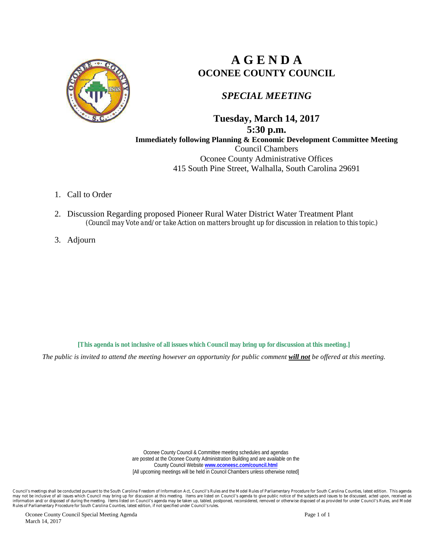

# **A G E N D A OCONEE COUNTY COUNCIL**

### *SPECIAL MEETING*

**Tuesday, March 14, 2017 5:30 p.m. Immediately following Planning & Economic Development Committee Meeting** Council Chambers Oconee County Administrative Offices 415 South Pine Street, Walhalla, South Carolina 29691

- 1. Call to Order
- 2. Discussion Regarding proposed Pioneer Rural Water District Water Treatment Plant *(Council may Vote and/or take Action on matters brought up for discussion in relation to this topic.)*
- 3. Adjourn

**[This agenda is not inclusive of all issues which Council may bring up for discussion at this meeting.]**

*The public is invited to attend the meeting however an opportunity for public comment will not be offered at this meeting.*

Oconee County Council & Committee meeting schedules and agendas are posted at the Oconee County Administration Building and are available on the County Council Website **[www.oconeesc.com/council.html](http://www.oconeesc.com/council.html)** [All upcoming meetings will be held in Council Chambers unless otherwise noted]

Council's meetings shall be conducted pursuant to the South Carolina Freedom of Information Act, Council's Rules and the Model Rules of Parliamentary Procedure for South Carolina Counties, latest edition. This agenda<br>infor

Oconee County Council Special Meeting Agenda **Page 1 of 1** and 2 and 2 and 2 and 2 and 2 and 2 and 2 and 2 and 2 and 2 and 2 and 2 and 2 and 2 and 2 and 2 and 2 and 2 and 2 and 2 and 2 and 2 and 2 and 2 and 2 and 2 and 2 a March 14, 2017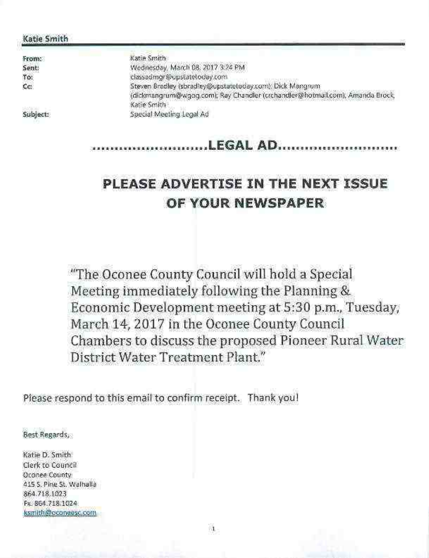#### Katie Smith

From: Sent: To: Ćc.

Subject:

Katie Smith Wednesday, March 08, 2017 3:24 PM classadmor@opstateloday.com Steven Bradley (sbradley@upstatetoday.com); Dick Mangrum (dickmangrum@wgog.com), Ray Chandler (crchandler@hotmail.com), Amanda Brock, Katie Smith Special Meeting Legal Ad

# LEGAL AD..............

# PLEASE ADVERTISE IN THE NEXT ISSUE OF YOUR NEWSPAPER

"The Oconee County Council will hold a Special Meeting immediately following the Planning & Economic Development meeting at 5:30 p.m., Tuesday, March 14, 2017 in the Oconee County Council Chambers to discuss the proposed Pioneer Rural Water District Water Treatment Plant."

Please respond to this email to confirm receipt. Thank you!

Best Regards

Katie D. Smith Clerk to Council Oconee County 415 S. Pine St. Walhalla 864.718.1023 Fx. 864.718.1024. ksmith@dconeesc.com

沮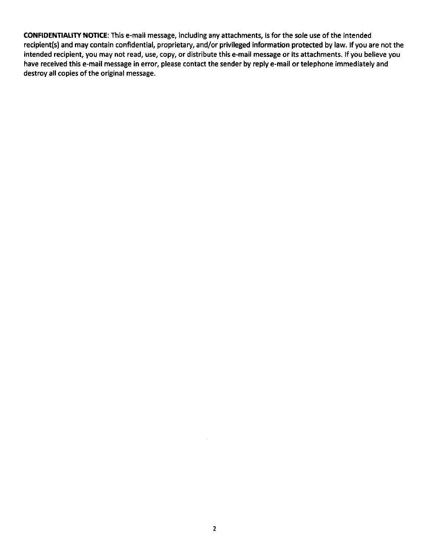**CONFIDENTIALITY NOTICE:** This e-mail message, including any attachments, is for the sole use of the intended recipient(s) and may contain confidential, proprietary, and/or privileged information protected by law. If you are not the intended recipient, you may not read, use, copy, or distribute this e-mail message or its attachments. If you believe you have received this e-mail message in error, please contact the sender by reply e-mail or telephone immediately and destroy all copies of the original message.

 $\cdot$